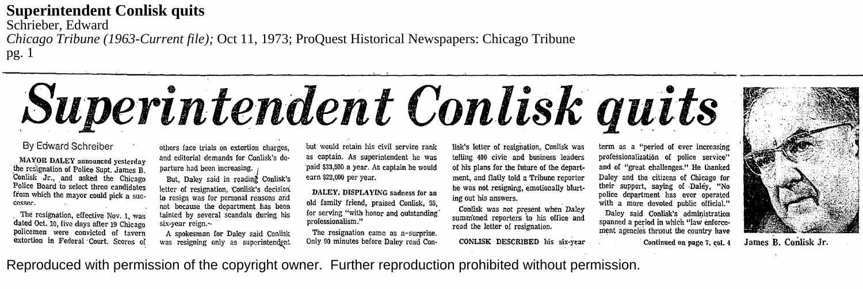## **Superintendent Conlisk quits**

Schrieber, Edward

*Chicago Tribune (1963-Current file);* Oct 11, 1973; ProQuest Historical Newspapers: Chicago Tribune pg. 1

## *.Superintendent Conlisk quits*

## By Edward Schreiber

\_l\fA1'.0R. DALEY announced yesterday \_the resignation of Police Supt. James B. Conlisk Jr., and asked the Chicago Police Board to select three candidates from which the mayor could pick a suc-<br>cessor.

The resignation, effective Nov. 1, was dated Oct. 10, five days after 19 Chicago policemen were convicted of tavern extortion in Federal Court. Scores of others face trials on extortion charges, and editorial demands for Conlisk's departure had been increasing.

But, Daley said in reading Conlisk's letter of resignation, Conlisk's decision. lo resign was for personal reasons arid not because the department has been tainted by several scandals during his six-year reign.~

A spokesman for Daley said Conlisk was resigning only as superintendent but would retain his civil service rank as captain. As superintendent he was ·paid \$33,500 a year. As captain he would earn \$22,000 per year.

DALEY, DISPLAYING sadness for an old family friend, . praised Conlisk, 55, for serving "with honor and outstanding· professionalism."

The resignation came as a-surprise. Only 90 minutes before Daley read Conlisk's letter of resignation, Conlisk was telling 400 civic and business leaders of his plans for the future or the department, and flatly told a Tribune reporter he was not resigning, emotionally blurting out his answers.

Conlisk was not present when. Daley summoned reporters to his office and read the letter of resignation.

CONLISK DESCRIBED his six-year

term as a "period of ever increasing professionalization of police service" and of "great challenges." He thanked Daley and the citizens of Chicago for their support, saying of ·Daley, "No police department has ever operated with a more devoted public official."

Daley said Conlisk's administration spanned a period in which "law enforcement agencies thruout the country have

Continued on page 7, col. 4 James B. Conlisk Jr.

Reproduced with permission of the copyright owner. Further reproduction prohibited without permission.